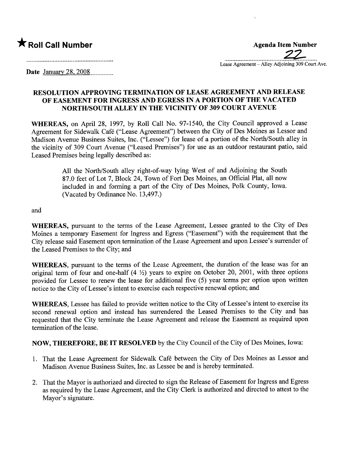\* Roll Call Number Agenda Item Number .\_\_\_\_\_\_\_\_\_.\_......\_\_\_.\_\_\_.\_.\_\_...\_\_\_.?2~.\_\_\_\_\_\_ Lease Agreement – Alley Adjoining 309 Court Ave.

Date January 28, 2008..............

## RESOLUTION APPROVING TERMINATION OF LEASE AGREEMENT AND RELEASE OF EASEMENT FOR INGRESS AND EGRESS IN A PORTION OF THE VACATED NORTH/SOUTH ALLEY IN THE VICINITY OF 309 COURT AVENUE

WHEREAS, on April 28, 1997, by Roll Call No. 97-1540, the City Council approved a Lease Agreement for Sidewalk Café ("Lease Agreement") between the City of Des Moines as Lessor and Madison Avenue Business Suites, Inc. ("Lessee") for lease of a portion of the North/South alley in the vicinity of 309 Court Avenue ("Leased Premises") for use as an outdoor restaurant patio, said Leased Premises being legally described as:

> All the North/South alley right-of-way lying West of and Adjoining the South 87.0 feet of Lot 7, Block 24, Town of Fort Des Moines, an Official Plat, all now included in and forming a part of the City of Des Moines, Polk County, Iowa. (Vacated by Ordinance No. 13,497.)

and

WHEREAS, pursuant to the terms of the Lease Agreement, Lessee granted to the City of Des Moines a temporary Easement for Ingress and Egress ("Easement") with the requirement that the City release said Easement upon termination of the Lease Agreement and upon Lessee's surender of the Leased Premises to the City; and

WHEREAS, pursuant to the terms of the Lease Agreement, the duration of the lease was for an original term of four and one-half  $(4 \frac{1}{2})$  years to expire on October 20, 2001, with three options provided for Lessee to renew the lease for additional five (5) year terms per option upon written notice to the City of Lessee's intent to exercise each respective renewal option; and

WHEREAS, Lessee has failed to provide written notice to the City of Lessee's intent to exercise its second renewal option and instead has surendered the Leased Premises to the City and has requested that the City terminate the Lease Agreement and release the Easement as required upon termination of the lease.

NOW, THEREFORE, BE IT RESOLVED by the City Council of the City of Des Moines, Iowa:

- 1. That the Lease Agreement for Sidewalk Café between the City of Des Moines as Lessor and Madison Avenue Business Suites, Inc. as Lessee be and is hereby terminated.
- 2. That the Mayor is authorized and directed to sign the Release of Easement for Ingress and Egress as required by the Lease Agreement, and the City Clerk is authorized and directed to attest to the Mayor's signature.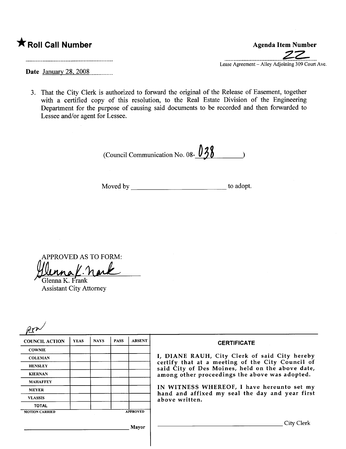|  | $\bigstar$ Roll Call Number |
|--|-----------------------------|
|  |                             |

Agenda Item Number .\_-\_..\_.\_\_.........................\_~~.\_-- Lease Agreement – Alley Adjoining 309 Court Ave.

Date January 28, 2008......m\_\_\_\_

3. That the City Clerk is authorized to forward the original of the Release of Easement, together with a certified copy of this resolution, to the Real Estate Division of the Engineering Deparment for the purpose of causing said documents to be recorded and then forwarded to Lessee and/or agent for Lessee.

(Council Communication No. 08- $\frac{038}{0}$ 

Moved by to adopt.

APPROVED AS TO FORM: APPROVED AS TO FORM<br>Uluna L. nack

Glenna K. Frank Assistant City Attorney

| <b>COUNCIL ACTION</b> | <b>YEAS</b> | <b>NAYS</b> | <b>PASS</b> | <b>ABSENT</b>   | <b>CERTIFICATE</b>                                                                                   |
|-----------------------|-------------|-------------|-------------|-----------------|------------------------------------------------------------------------------------------------------|
| <b>COWNIE</b>         |             |             |             |                 |                                                                                                      |
| <b>COLEMAN</b>        |             |             |             |                 | I, DIANE RAUH, City Clerk of said City hereby                                                        |
| <b>HENSLEY</b>        |             |             |             |                 | certify that at a meeting of the City Council of<br>said City of Des Moines, held on the above date, |
| <b>KIERNAN</b>        |             |             |             |                 | among other proceedings the above was adopted.                                                       |
| <b>MAHAFFEY</b>       |             |             |             |                 |                                                                                                      |
| <b>MEYER</b>          |             |             |             |                 | IN WITNESS WHEREOF, I have hereunto set my<br>hand and affixed my seal the day and year first        |
| <b>VLASSIS</b>        |             |             |             |                 | above written.                                                                                       |
| <b>TOTAL</b>          |             |             |             |                 |                                                                                                      |
| <b>MOTION CARRIED</b> |             |             |             | <b>APPROVED</b> |                                                                                                      |
|                       |             |             |             | Mayor           | City Clerk                                                                                           |